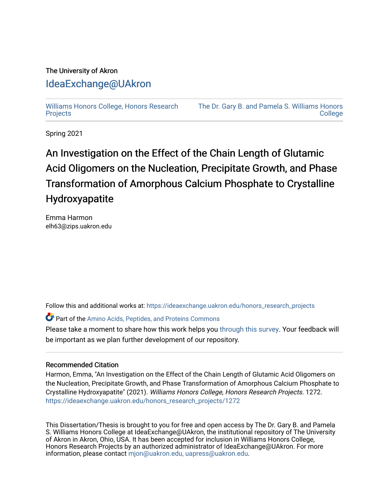### The University of Akron [IdeaExchange@UAkron](https://ideaexchange.uakron.edu/)

[Williams Honors College, Honors Research](https://ideaexchange.uakron.edu/honors_research_projects)  **[Projects](https://ideaexchange.uakron.edu/honors_research_projects)** 

[The Dr. Gary B. and Pamela S. Williams Honors](https://ideaexchange.uakron.edu/honorscollege_ideas)  **College** 

Spring 2021

## An Investigation on the Effect of the Chain Length of Glutamic Acid Oligomers on the Nucleation, Precipitate Growth, and Phase Transformation of Amorphous Calcium Phosphate to Crystalline Hydroxyapatite

Emma Harmon elh63@zips.uakron.edu

Follow this and additional works at: [https://ideaexchange.uakron.edu/honors\\_research\\_projects](https://ideaexchange.uakron.edu/honors_research_projects?utm_source=ideaexchange.uakron.edu%2Fhonors_research_projects%2F1272&utm_medium=PDF&utm_campaign=PDFCoverPages) 

Part of the [Amino Acids, Peptides, and Proteins Commons](http://network.bepress.com/hgg/discipline/954?utm_source=ideaexchange.uakron.edu%2Fhonors_research_projects%2F1272&utm_medium=PDF&utm_campaign=PDFCoverPages) 

Please take a moment to share how this work helps you [through this survey](http://survey.az1.qualtrics.com/SE/?SID=SV_eEVH54oiCbOw05f&URL=https://ideaexchange.uakron.edu/honors_research_projects/1272). Your feedback will be important as we plan further development of our repository.

#### Recommended Citation

Harmon, Emma, "An Investigation on the Effect of the Chain Length of Glutamic Acid Oligomers on the Nucleation, Precipitate Growth, and Phase Transformation of Amorphous Calcium Phosphate to Crystalline Hydroxyapatite" (2021). Williams Honors College, Honors Research Projects. 1272. [https://ideaexchange.uakron.edu/honors\\_research\\_projects/1272](https://ideaexchange.uakron.edu/honors_research_projects/1272?utm_source=ideaexchange.uakron.edu%2Fhonors_research_projects%2F1272&utm_medium=PDF&utm_campaign=PDFCoverPages) 

This Dissertation/Thesis is brought to you for free and open access by The Dr. Gary B. and Pamela S. Williams Honors College at IdeaExchange@UAkron, the institutional repository of The University of Akron in Akron, Ohio, USA. It has been accepted for inclusion in Williams Honors College, Honors Research Projects by an authorized administrator of IdeaExchange@UAkron. For more information, please contact [mjon@uakron.edu, uapress@uakron.edu.](mailto:mjon@uakron.edu,%20uapress@uakron.edu)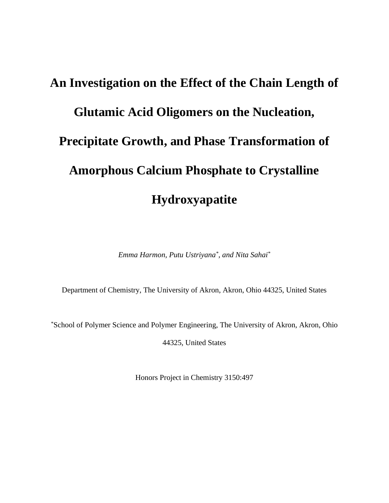# **An Investigation on the Effect of the Chain Length of Glutamic Acid Oligomers on the Nucleation, Precipitate Growth, and Phase Transformation of Amorphous Calcium Phosphate to Crystalline Hydroxyapatite**

*Emma Harmon, Putu Ustriyana\* , and Nita Sahai\**

Department of Chemistry, The University of Akron, Akron, Ohio 44325, United States

\*School of Polymer Science and Polymer Engineering, The University of Akron, Akron, Ohio

44325, United States

Honors Project in Chemistry 3150:497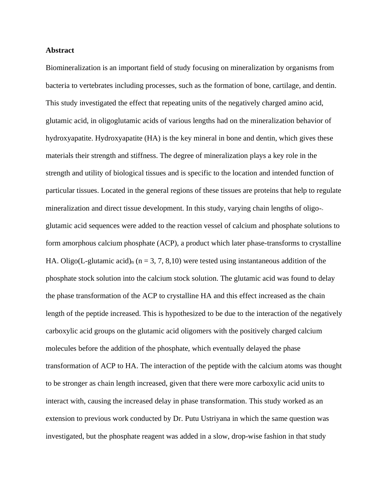#### **Abstract**

Biomineralization is an important field of study focusing on mineralization by organisms from bacteria to vertebrates including processes, such as the formation of bone, cartilage, and dentin. This study investigated the effect that repeating units of the negatively charged amino acid, glutamic acid, in oligoglutamic acids of various lengths had on the mineralization behavior of hydroxyapatite. Hydroxyapatite (HA) is the key mineral in bone and dentin, which gives these materials their strength and stiffness. The degree of mineralization plays a key role in the strength and utility of biological tissues and is specific to the location and intended function of particular tissues. Located in the general regions of these tissues are proteins that help to regulate mineralization and direct tissue development. In this study, varying chain lengths of oligo- glutamic acid sequences were added to the reaction vessel of calcium and phosphate solutions to form amorphous calcium phosphate (ACP), a product which later phase-transforms to crystalline HA. Oligo(L-glutamic acid)<sub>n</sub> ( $n = 3, 7, 8, 10$ ) were tested using instantaneous addition of the phosphate stock solution into the calcium stock solution. The glutamic acid was found to delay the phase transformation of the ACP to crystalline HA and this effect increased as the chain length of the peptide increased. This is hypothesized to be due to the interaction of the negatively carboxylic acid groups on the glutamic acid oligomers with the positively charged calcium molecules before the addition of the phosphate, which eventually delayed the phase transformation of ACP to HA. The interaction of the peptide with the calcium atoms was thought to be stronger as chain length increased, given that there were more carboxylic acid units to interact with, causing the increased delay in phase transformation. This study worked as an extension to previous work conducted by Dr. Putu Ustriyana in which the same question was investigated, but the phosphate reagent was added in a slow, drop-wise fashion in that study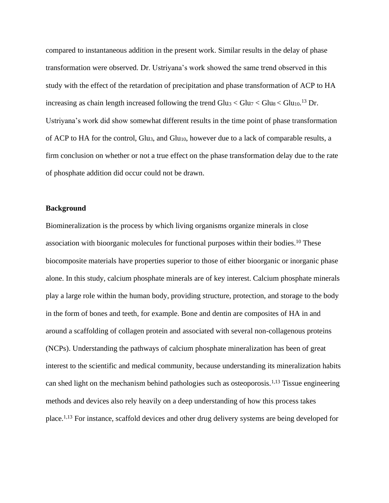compared to instantaneous addition in the present work. Similar results in the delay of phase transformation were observed. Dr. Ustriyana's work showed the same trend observed in this study with the effect of the retardation of precipitation and phase transformation of ACP to HA increasing as chain length increased following the trend  $Glu<sub>3</sub> < Glu<sub>7</sub> < Glu<sub>8</sub> < Glu<sub>10</sub>$ .<sup>13</sup> Dr. Ustriyana's work did show somewhat different results in the time point of phase transformation of ACP to HA for the control, Glu<sub>3</sub>, and Glu<sub>10</sub>, however due to a lack of comparable results, a firm conclusion on whether or not a true effect on the phase transformation delay due to the rate of phosphate addition did occur could not be drawn.

#### **Background**

Biomineralization is the process by which living organisms organize minerals in close association with bioorganic molecules for functional purposes within their bodies.<sup>10</sup> These biocomposite materials have properties superior to those of either bioorganic or inorganic phase alone. In this study, calcium phosphate minerals are of key interest. Calcium phosphate minerals play a large role within the human body, providing structure, protection, and storage to the body in the form of bones and teeth, for example. Bone and dentin are composites of HA in and around a scaffolding of collagen protein and associated with several non-collagenous proteins (NCPs). Understanding the pathways of calcium phosphate mineralization has been of great interest to the scientific and medical community, because understanding its mineralization habits can shed light on the mechanism behind pathologies such as osteoporosis.<sup>1,13</sup> Tissue engineering methods and devices also rely heavily on a deep understanding of how this process takes place.1,13 For instance, scaffold devices and other drug delivery systems are being developed for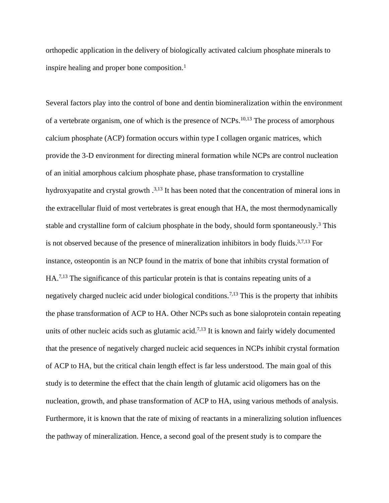orthopedic application in the delivery of biologically activated calcium phosphate minerals to inspire healing and proper bone composition.<sup>1</sup>

Several factors play into the control of bone and dentin biomineralization within the environment of a vertebrate organism, one of which is the presence of NCPs.<sup>10,13</sup> The process of amorphous calcium phosphate (ACP) formation occurs within type I collagen organic matrices, which provide the 3-D environment for directing mineral formation while NCPs are control nucleation of an initial amorphous calcium phosphate phase, phase transformation to crystalline hydroxyapatite and crystal growth .<sup>3,13</sup> It has been noted that the concentration of mineral ions in the extracellular fluid of most vertebrates is great enough that HA, the most thermodynamically stable and crystalline form of calcium phosphate in the body, should form spontaneously.<sup>3</sup> This is not observed because of the presence of mineralization inhibitors in body fluids.<sup>3,7,13</sup> For instance, osteopontin is an NCP found in the matrix of bone that inhibits crystal formation of HA.7,13 The significance of this particular protein is that is contains repeating units of a negatively charged nucleic acid under biological conditions.7,13 This is the property that inhibits the phase transformation of ACP to HA. Other NCPs such as bone sialoprotein contain repeating units of other nucleic acids such as glutamic acid.<sup>7,13</sup> It is known and fairly widely documented that the presence of negatively charged nucleic acid sequences in NCPs inhibit crystal formation of ACP to HA, but the critical chain length effect is far less understood. The main goal of this study is to determine the effect that the chain length of glutamic acid oligomers has on the nucleation, growth, and phase transformation of ACP to HA, using various methods of analysis. Furthermore, it is known that the rate of mixing of reactants in a mineralizing solution influences the pathway of mineralization. Hence, a second goal of the present study is to compare the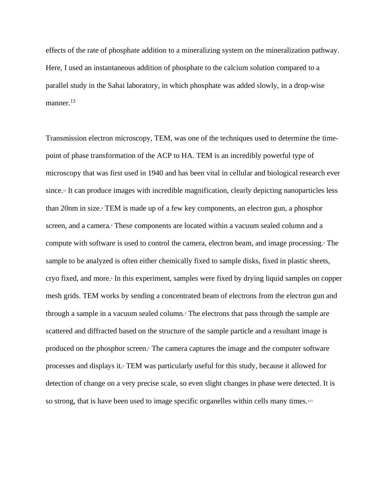effects of the rate of phosphate addition to a mineralizing system on the mineralization pathway. Here, I used an instantaneous addition of phosphate to the calcium solution compared to a parallel study in the Sahai laboratory, in which phosphate was added slowly, in a drop-wise manner.<sup>13</sup>

Transmission electron microscopy, TEM, was one of the techniques used to determine the timepoint of phase transformation of the ACP to HA. TEM is an incredibly powerful type of microscopy that was first used in 1940 and has been vital in cellular and biological research ever since.<sup>15</sup> It can produce images with incredible magnification, clearly depicting nanoparticles less than 20nm in size.<sup>4</sup> TEM is made up of a few key components, an electron gun, a phosphor screen, and a camera.<sup>6</sup> These components are located within a vacuum sealed column and a compute with software is used to control the camera, electron beam, and image processing.<sup>6</sup> The sample to be analyzed is often either chemically fixed to sample disks, fixed in plastic sheets, cryo fixed, and more.<sup>6</sup> In this experiment, samples were fixed by drying liquid samples on copper mesh grids. TEM works by sending a concentrated beam of electrons from the electron gun and through a sample in a vacuum sealed column.<sup>6</sup> The electrons that pass through the sample are scattered and diffracted based on the structure of the sample particle and a resultant image is produced on the phosphor screen.<sup>6</sup> The camera captures the image and the computer software processes and displays it.<sup>6</sup> TEM was particularly useful for this study, because it allowed for detection of change on a very precise scale, so even slight changes in phase were detected. It is so strong, that is have been used to image specific organelles within cells many times.<sup>4,15</sup>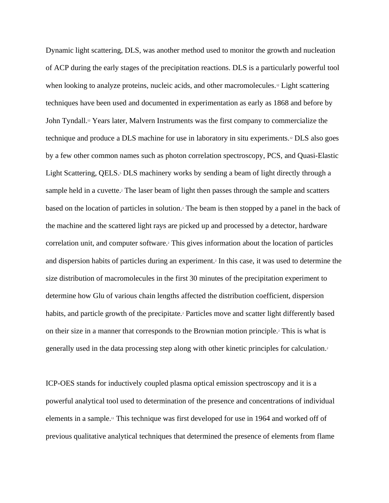Dynamic light scattering, DLS, was another method used to monitor the growth and nucleation of ACP during the early stages of the precipitation reactions. DLS is a particularly powerful tool when looking to analyze proteins, nucleic acids, and other macromolecules.<sup>12</sup> Light scattering techniques have been used and documented in experimentation as early as 1868 and before by John Tyndall.<sup>12</sup> Years later, Malvern Instruments was the first company to commercialize the technique and produce a DLS machine for use in laboratory in situ experiments.<sup>12</sup> DLS also goes by a few other common names such as photon correlation spectroscopy, PCS, and Quasi-Elastic Light Scattering, QELS.<sup>5</sup> DLS machinery works by sending a beam of light directly through a sample held in a cuvette.<sup>2</sup> The laser beam of light then passes through the sample and scatters based on the location of particles in solution.<sup>2</sup> The beam is then stopped by a panel in the back of the machine and the scattered light rays are picked up and processed by a detector, hardware correlation unit, and computer software.<sup>2</sup> This gives information about the location of particles and dispersion habits of particles during an experiment.<sup>2</sup> In this case, it was used to determine the size distribution of macromolecules in the first 30 minutes of the precipitation experiment to determine how Glu of various chain lengths affected the distribution coefficient, dispersion habits, and particle growth of the precipitate.<sup>2</sup> Particles move and scatter light differently based on their size in a manner that corresponds to the Brownian motion principle.<sup>2</sup> This is what is generally used in the data processing step along with other kinetic principles for calculation.<sup>2</sup>

ICP-OES stands for inductively coupled plasma optical emission spectroscopy and it is a powerful analytical tool used to determination of the presence and concentrations of individual elements in a sample.<sup>11</sup> This technique was first developed for use in 1964 and worked off of previous qualitative analytical techniques that determined the presence of elements from flame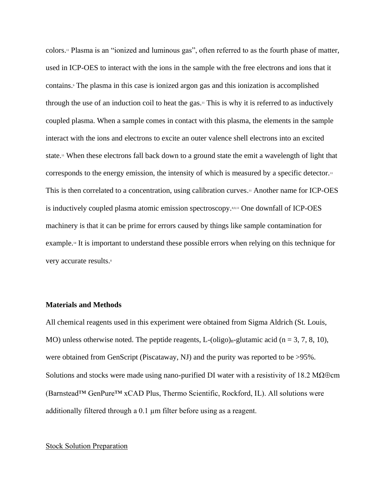colors.<sup>11</sup> Plasma is an "ionized and luminous gas", often referred to as the fourth phase of matter, used in ICP-OES to interact with the ions in the sample with the free electrons and ions that it contains.<sup>9</sup> The plasma in this case is ionized argon gas and this ionization is accomplished through the use of an induction coil to heat the gas.<sup>11</sup> This is why it is referred to as inductively coupled plasma. When a sample comes in contact with this plasma, the elements in the sample interact with the ions and electrons to excite an outer valence shell electrons into an excited state.<sup>11</sup> When these electrons fall back down to a ground state the emit a wavelength of light that corresponds to the energy emission, the intensity of which is measured by a specific detector.<sup>11</sup> This is then correlated to a concentration, using calibration curves.<sup>11</sup> Another name for ICP-OES is inductively coupled plasma atomic emission spectroscopy.8,9,11 One downfall of ICP-OES machinery is that it can be prime for errors caused by things like sample contamination for example.<sup>14</sup> It is important to understand these possible errors when relying on this technique for very accurate results.<sup>8</sup>

#### **Materials and Methods**

All chemical reagents used in this experiment were obtained from Sigma Aldrich (St. Louis, MO) unless otherwise noted. The peptide reagents, L-(oligo)<sub>n</sub>-glutamic acid (n = 3, 7, 8, 10), were obtained from GenScript (Piscataway, NJ) and the purity was reported to be >95%. Solutions and stocks were made using nano-purified DI water with a resistivity of 18.2 M $\Omega \oplus cm$ (Barnstead™ GenPure™ xCAD Plus, Thermo Scientific, Rockford, IL). All solutions were additionally filtered through a 0.1 µm filter before using as a reagent.

#### **Stock Solution Preparation**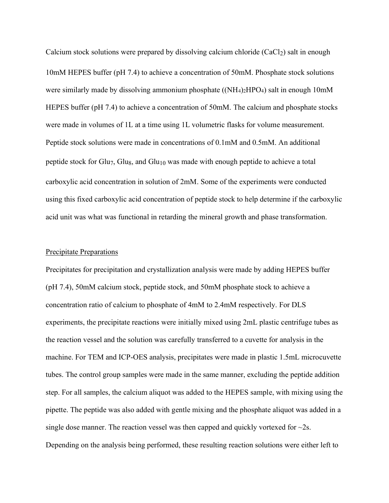Calcium stock solutions were prepared by dissolving calcium chloride  $(CaCl<sub>2</sub>)$  salt in enough 10mM HEPES buffer (pH 7.4) to achieve a concentration of 50mM. Phosphate stock solutions were similarly made by dissolving ammonium phosphate ((NH<sub>4</sub>)<sub>2</sub>HPO<sub>4</sub>) salt in enough 10mM HEPES buffer (pH 7.4) to achieve a concentration of 50mM. The calcium and phosphate stocks were made in volumes of 1L at a time using 1L volumetric flasks for volume measurement. Peptide stock solutions were made in concentrations of 0.1mM and 0.5mM. An additional peptide stock for Glu7, Glu<sub>8</sub>, and Glu<sub>10</sub> was made with enough peptide to achieve a total carboxylic acid concentration in solution of 2mM. Some of the experiments were conducted using this fixed carboxylic acid concentration of peptide stock to help determine if the carboxylic acid unit was what was functional in retarding the mineral growth and phase transformation.

#### Precipitate Preparations

Precipitates for precipitation and crystallization analysis were made by adding HEPES buffer (pH 7.4), 50mM calcium stock, peptide stock, and 50mM phosphate stock to achieve a concentration ratio of calcium to phosphate of 4mM to 2.4mM respectively. For DLS experiments, the precipitate reactions were initially mixed using 2mL plastic centrifuge tubes as the reaction vessel and the solution was carefully transferred to a cuvette for analysis in the machine. For TEM and ICP-OES analysis, precipitates were made in plastic 1.5mL microcuvette tubes. The control group samples were made in the same manner, excluding the peptide addition step. For all samples, the calcium aliquot was added to the HEPES sample, with mixing using the pipette. The peptide was also added with gentle mixing and the phosphate aliquot was added in a single dose manner. The reaction vessel was then capped and quickly vortexed for  $\sim$ 2s. Depending on the analysis being performed, these resulting reaction solutions were either left to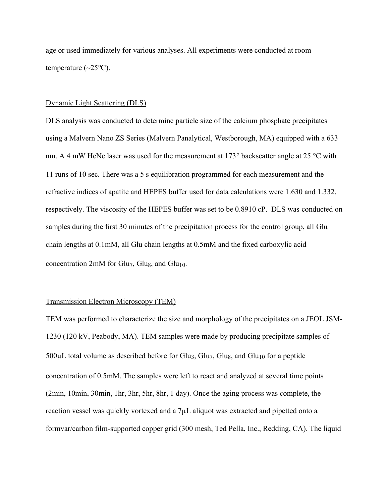age or used immediately for various analyses. All experiments were conducted at room temperature  $(\sim 25^{\circ}C)$ .

#### Dynamic Light Scattering (DLS)

DLS analysis was conducted to determine particle size of the calcium phosphate precipitates using a Malvern Nano ZS Series (Malvern Panalytical, Westborough, MA) equipped with a 633 nm. A 4 mW HeNe laser was used for the measurement at  $173^{\circ}$  backscatter angle at 25 °C with 11 runs of 10 sec. There was a 5 s equilibration programmed for each measurement and the refractive indices of apatite and HEPES buffer used for data calculations were 1.630 and 1.332, respectively. The viscosity of the HEPES buffer was set to be 0.8910 cP. DLS was conducted on samples during the first 30 minutes of the precipitation process for the control group, all Glu chain lengths at 0.1mM, all Glu chain lengths at 0.5mM and the fixed carboxylic acid concentration 2mM for Glu<sub>7</sub>, Glu<sub>8</sub>, and Glu<sub>10</sub>.

#### Transmission Electron Microscopy (TEM)

TEM was performed to characterize the size and morphology of the precipitates on a JEOL JSM-1230 (120 kV, Peabody, MA). TEM samples were made by producing precipitate samples of  $500\mu$ L total volume as described before for Glu<sub>3</sub>, Glu<sub>7</sub>, Glu<sub>8</sub>, and Glu<sub>10</sub> for a peptide concentration of 0.5mM. The samples were left to react and analyzed at several time points (2min, 10min, 30min, 1hr, 3hr, 5hr, 8hr, 1 day). Once the aging process was complete, the reaction vessel was quickly vortexed and a 7µL aliquot was extracted and pipetted onto a formvar/carbon film-supported copper grid (300 mesh, Ted Pella, Inc., Redding, CA). The liquid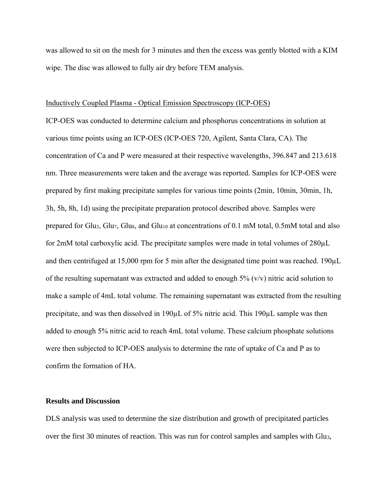was allowed to sit on the mesh for 3 minutes and then the excess was gently blotted with a KIM wipe. The disc was allowed to fully air dry before TEM analysis.

#### Inductively Coupled Plasma - Optical Emission Spectroscopy (ICP-OES)

ICP-OES was conducted to determine calcium and phosphorus concentrations in solution at various time points using an ICP-OES (ICP-OES 720, Agilent, Santa Clara, CA). The concentration of Ca and P were measured at their respective wavelengths, 396.847 and 213.618 nm. Three measurements were taken and the average was reported. Samples for ICP-OES were prepared by first making precipitate samples for various time points (2min, 10min, 30min, 1h, 3h, 5h, 8h, 1d) using the precipitate preparation protocol described above. Samples were prepared for Glu<sub>3</sub>, Glu<sub>7</sub>, Glu<sub>8</sub>, and Glu<sub>10</sub> at concentrations of 0.1 mM total, 0.5mM total and also for 2mM total carboxylic acid. The precipitate samples were made in total volumes of 280µL and then centrifuged at 15,000 rpm for 5 min after the designated time point was reached. 190µL of the resulting supernatant was extracted and added to enough  $5\%$  (v/v) nitric acid solution to make a sample of 4mL total volume. The remaining supernatant was extracted from the resulting precipitate, and was then dissolved in 190µL of 5% nitric acid. This 190µL sample was then added to enough 5% nitric acid to reach 4mL total volume. These calcium phosphate solutions were then subjected to ICP-OES analysis to determine the rate of uptake of Ca and P as to confirm the formation of HA.

#### **Results and Discussion**

DLS analysis was used to determine the size distribution and growth of precipitated particles over the first 30 minutes of reaction. This was run for control samples and samples with Glu3,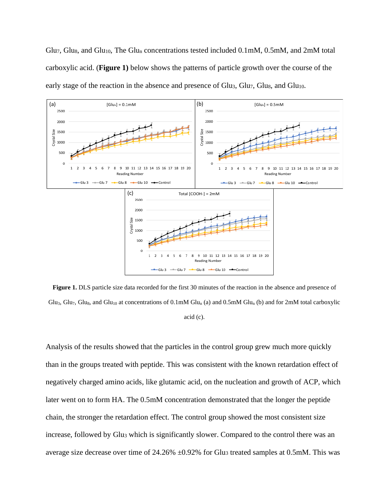Glu7, Glu8, and Glu<sub>10</sub>, The Glu<sub>n</sub> concentrations tested included 0.1mM, 0.5mM, and 2mM total carboxylic acid. (**Figure 1)** below shows the patterns of particle growth over the course of the early stage of the reaction in the absence and presence of  $Glu<sub>3</sub>$ ,  $Glu<sub>7</sub>$ ,  $Glu<sub>8</sub>$ , and  $Glu<sub>10</sub>$ .



**Figure 1.** DLS particle size data recorded for the first 30 minutes of the reaction in the absence and presence of Glu<sub>3</sub>, Glu<sub>7</sub>, Glu<sub>8</sub>, and Glu<sub>10</sub> at concentrations of 0.1mM Glu<sub>n</sub> (a) and 0.5mM Glu<sub>n</sub> (b) and for 2mM total carboxylic acid (c).

Analysis of the results showed that the particles in the control group grew much more quickly than in the groups treated with peptide. This was consistent with the known retardation effect of negatively charged amino acids, like glutamic acid, on the nucleation and growth of ACP, which later went on to form HA. The 0.5mM concentration demonstrated that the longer the peptide chain, the stronger the retardation effect. The control group showed the most consistent size increase, followed by Glu<sub>3</sub> which is significantly slower. Compared to the control there was an average size decrease over time of  $24.26\% \pm 0.92\%$  for Glu<sub>3</sub> treated samples at 0.5mM. This was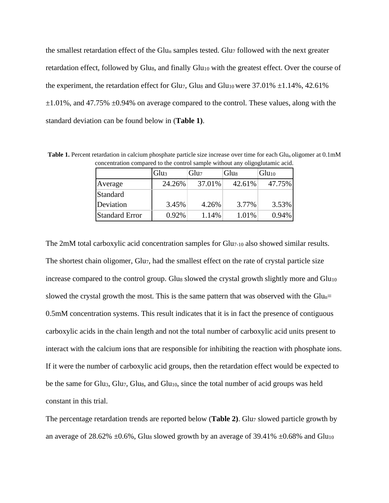the smallest retardation effect of the Glu<sub>n</sub> samples tested. Glu<sub>7</sub> followed with the next greater retardation effect, followed by Glu<sub>8</sub>, and finally Glu<sub>10</sub> with the greatest effect. Over the course of the experiment, the retardation effect for Glu<sub>7</sub>, Glu<sub>8</sub> and Glu<sub>10</sub> were 37.01%  $\pm$ 1.14%, 42.61%  $\pm 1.01\%$ , and 47.75%  $\pm 0.94\%$  on average compared to the control. These values, along with the standard deviation can be found below in (**Table 1)**.

**Table 1.** Percent retardation in calcium phosphate particle size increase over time for each Glu<sub>n</sub> oligomer at 0.1mM concentration compared to the control sample without any oligoglutamic acid.

|                       | Glu <sub>3</sub> | Glu7   | Glu <sub>8</sub> | Glu <sub>10</sub> |
|-----------------------|------------------|--------|------------------|-------------------|
| Average               | 24.26%           | 37.01% | 42.61%           | 47.75%            |
| Standard              |                  |        |                  |                   |
| Deviation             | 3.45%            | 4.26%  | 3.77%            | 3.53%             |
| <b>Standard Error</b> | $0.92\%$         | 1.14%  | 1.01%            | 0.94%             |

The 2mM total carboxylic acid concentration samples for Glu7-10 also showed similar results. The shortest chain oligomer, Glu<sub>7</sub>, had the smallest effect on the rate of crystal particle size increase compared to the control group. Glu<sub>8</sub> slowed the crystal growth slightly more and  $Glu<sub>10</sub>$ slowed the crystal growth the most. This is the same pattern that was observed with the  $Glu_n=$ 0.5mM concentration systems. This result indicates that it is in fact the presence of contiguous carboxylic acids in the chain length and not the total number of carboxylic acid units present to interact with the calcium ions that are responsible for inhibiting the reaction with phosphate ions. If it were the number of carboxylic acid groups, then the retardation effect would be expected to be the same for Glu<sub>3</sub>, Glu<sub>7</sub>, Glu<sub>8</sub>, and Glu<sub>10</sub>, since the total number of acid groups was held constant in this trial.

The percentage retardation trends are reported below (**Table 2**). Glu<sub>7</sub> slowed particle growth by an average of 28.62%  $\pm$ 0.6%, Glus slowed growth by an average of 39.41%  $\pm$ 0.68% and Glu<sub>10</sub>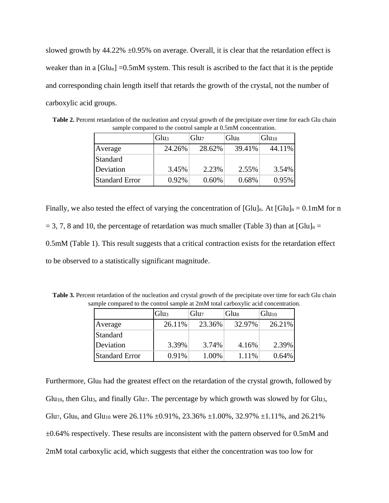slowed growth by  $44.22\% \pm 0.95\%$  on average. Overall, it is clear that the retardation effect is weaker than in a  $[G|u_n] = 0.5$ mM system. This result is ascribed to the fact that it is the peptide and corresponding chain length itself that retards the growth of the crystal, not the number of carboxylic acid groups.

|                       | Glu <sub>3</sub> | Glu7   | Glu <sub>8</sub> | Glu <sub>10</sub> |
|-----------------------|------------------|--------|------------------|-------------------|
| Average               | 24.26%           | 28.62% | 39.41%           | 44.11%            |
| <b>Standard</b>       |                  |        |                  |                   |
| Deviation             | 3.45%            | 2.23%  | 2.55%            | 3.54%             |
| <b>Standard Error</b> | 0.92%            | 0.60%  | 0.68%            | 0.95%             |

**Table 2.** Percent retardation of the nucleation and crystal growth of the precipitate over time for each Glu chain sample compared to the control sample at 0.5mM concentration.

Finally, we also tested the effect of varying the concentration of  $[G]u]_n$ . At  $[G]u]_n = 0.1$ mM for n  $= 3, 7, 8$  and 10, the percentage of retardation was much smaller (Table 3) than at [Glu]<sub>n</sub> = 0.5mM (Table 1). This result suggests that a critical contraction exists for the retardation effect to be observed to a statistically significant magnitude.

**Table 3.** Percent retardation of the nucleation and crystal growth of the precipitate over time for each Glu chain sample compared to the control sample at 2mM total carboxylic acid concentration.

|                       | Glu <sub>3</sub> | Glu7   | Glu <sub>8</sub> | Glu <sub>10</sub> |
|-----------------------|------------------|--------|------------------|-------------------|
| Average               | 26.11%           | 23.36% | 32.97%           | 26.21%            |
| Standard              |                  |        |                  |                   |
| Deviation             | 3.39%            | 3.74%  | 4.16%            | 2.39%             |
| <b>Standard Error</b> | 0.91%            | 1.00%  | 1.11%            | 0.64%             |

Furthermore, Glus had the greatest effect on the retardation of the crystal growth, followed by Glu<sub>10</sub>, then Glu<sub>3</sub>, and finally Glu<sub>7</sub>. The percentage by which growth was slowed by for Glu<sub>3</sub>, Glu7, Glus, and Glu<sub>10</sub> were 26.11%  $\pm 0.91$ %, 23.36%  $\pm 1.00$ %, 32.97%  $\pm 1.11$ %, and 26.21%  $\pm 0.64\%$  respectively. These results are inconsistent with the pattern observed for 0.5mM and 2mM total carboxylic acid, which suggests that either the concentration was too low for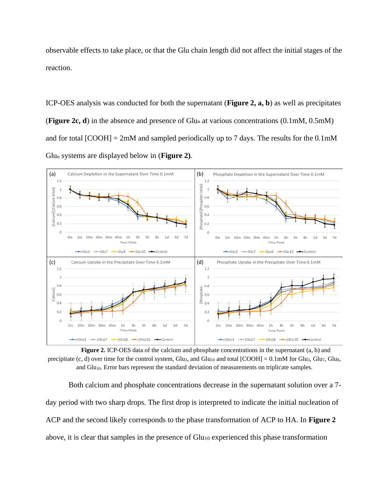observable effects to take place, or that the Glu chain length did not affect the initial stages of the reaction.

ICP-OES analysis was conducted for both the supernatant (**Figure 2, a, b**) as well as precipitates (**Figure 2c, d**) in the absence and presence of Glu<sup>n</sup> at various concentrations (0.1mM, 0.5mM) and for total  $[COOH] = 2 \text{m}$  and sampled periodically up to 7 days. The results for the 0.1mM Glu<sup>n</sup> systems are displayed below in (**Figure 2)**.



**Figure 2.** ICP-OES data of the calcium and phosphate concentrations in the supernatant (a, b) and precipitate (c, d) over time for the control system, Glu<sub>3</sub>, and Glu<sub>10</sub> and total  $[COOH] = 0.1 \text{mM}$  for Glu<sub>3</sub>, Glu<sub>7</sub>, Glu<sub>8</sub>, and Glu<sub>10</sub>. Error bars represent the standard deviation of measurements on triplicate samples.

Both calcium and phosphate concentrations decrease in the supernatant solution over a 7 day period with two sharp drops. The first drop is interpreted to indicate the initial nucleation of ACP and the second likely corresponds to the phase transformation of ACP to HA. In **Figure 2** above, it is clear that samples in the presence of  $Glu_{10}$  experienced this phase transformation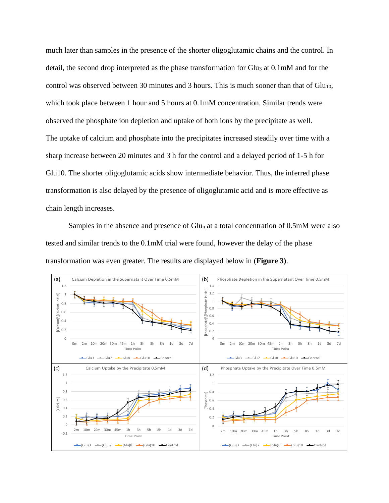much later than samples in the presence of the shorter oligoglutamic chains and the control. In detail, the second drop interpreted as the phase transformation for Glu<sup>3</sup> at 0.1mM and for the control was observed between 30 minutes and 3 hours. This is much sooner than that of  $Glu_{10}$ , which took place between 1 hour and 5 hours at 0.1mM concentration. Similar trends were observed the phosphate ion depletion and uptake of both ions by the precipitate as well. The uptake of calcium and phosphate into the precipitates increased steadily over time with a sharp increase between 20 minutes and 3 h for the control and a delayed period of 1-5 h for Glu10. The shorter oligoglutamic acids show intermediate behavior. Thus, the inferred phase transformation is also delayed by the presence of oligoglutamic acid and is more effective as chain length increases.

Samples in the absence and presence of  $Glu_n$  at a total concentration of 0.5mM were also tested and similar trends to the 0.1mM trial were found, however the delay of the phase transformation was even greater. The results are displayed below in (**Figure 3)**.

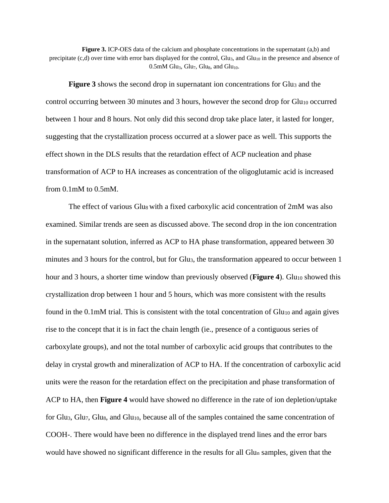**Figure 3.** ICP-OES data of the calcium and phosphate concentrations in the supernatant (a,b) and precipitate (c,d) over time with error bars displayed for the control, Glu<sub>3</sub>, and Glu<sub>10</sub> in the presence and absence of  $0.5$ mM Glu<sub>3</sub>, Glu<sub>7</sub>, Glu<sub>8</sub>, and Glu<sub>10</sub>.

**Figure 3** shows the second drop in supernatant ion concentrations for Glu<sub>3</sub> and the control occurring between 30 minutes and 3 hours, however the second drop for Glu<sub>10</sub> occurred between 1 hour and 8 hours. Not only did this second drop take place later, it lasted for longer, suggesting that the crystallization process occurred at a slower pace as well. This supports the effect shown in the DLS results that the retardation effect of ACP nucleation and phase transformation of ACP to HA increases as concentration of the oligoglutamic acid is increased from 0.1mM to 0.5mM.

The effect of various Glu<sub>8</sub> with a fixed carboxylic acid concentration of  $2mM$  was also examined. Similar trends are seen as discussed above. The second drop in the ion concentration in the supernatant solution, inferred as ACP to HA phase transformation, appeared between 30 minutes and 3 hours for the control, but for Glu<sub>3</sub>, the transformation appeared to occur between 1 hour and 3 hours, a shorter time window than previously observed (**Figure 4**). Glu<sub>10</sub> showed this crystallization drop between 1 hour and 5 hours, which was more consistent with the results found in the  $0.1 \text{mM}$  trial. This is consistent with the total concentration of  $Glu<sub>10</sub>$  and again gives rise to the concept that it is in fact the chain length (ie., presence of a contiguous series of carboxylate groups), and not the total number of carboxylic acid groups that contributes to the delay in crystal growth and mineralization of ACP to HA. If the concentration of carboxylic acid units were the reason for the retardation effect on the precipitation and phase transformation of ACP to HA, then **Figure 4** would have showed no difference in the rate of ion depletion/uptake for Glu<sub>3</sub>, Glu<sub>7</sub>, Glu<sub>8</sub>, and Glu<sub>10</sub>, because all of the samples contained the same concentration of COOH-. There would have been no difference in the displayed trend lines and the error bars would have showed no significant difference in the results for all  $Glu_n$  samples, given that the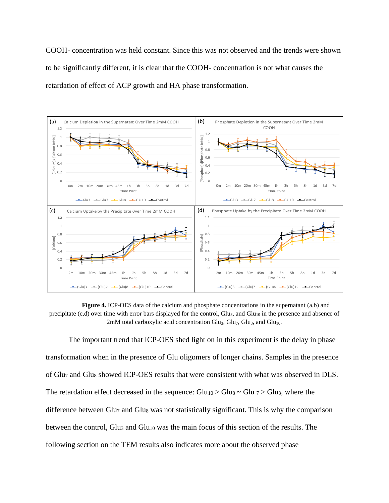COOH- concentration was held constant. Since this was not observed and the trends were shown to be significantly different, it is clear that the COOH- concentration is not what causes the retardation of effect of ACP growth and HA phase transformation.



**Figure 4.** ICP-OES data of the calcium and phosphate concentrations in the supernatant (a,b) and precipitate (c,d) over time with error bars displayed for the control, Glu<sub>3</sub>, and Glu<sub>10</sub> in the presence and absence of 2mM total carboxylic acid concentration  $Glu_3$ ,  $Glu_7$ ,  $Glu_8$ , and  $Glu_{10}$ .

The important trend that ICP-OES shed light on in this experiment is the delay in phase transformation when in the presence of Glu oligomers of longer chains. Samples in the presence of Glu<sub>7</sub> and Glu<sub>8</sub> showed ICP-OES results that were consistent with what was observed in DLS. The retardation effect decreased in the sequence:  $G\text{lu}_{10} > G\text{lu}_{3} \sim G\text{lu}_{3}$ , where the difference between Glu<sub>7</sub> and Glu<sub>8</sub> was not statistically significant. This is why the comparison between the control, Glu<sup>3</sup> and Glu<sup>10</sup> was the main focus of this section of the results. The following section on the TEM results also indicates more about the observed phase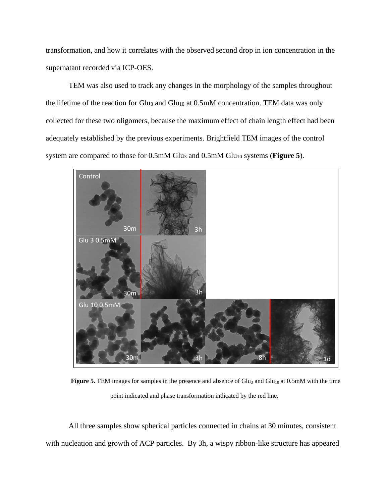transformation, and how it correlates with the observed second drop in ion concentration in the supernatant recorded via ICP-OES.

TEM was also used to track any changes in the morphology of the samples throughout the lifetime of the reaction for Glu<sub>3</sub> and Glu<sub>10</sub> at 0.5mM concentration. TEM data was only collected for these two oligomers, because the maximum effect of chain length effect had been adequately established by the previous experiments. Brightfield TEM images of the control system are compared to those for 0.5mM Glu<sub>3</sub> and 0.5mM Glu<sub>10</sub> systems (**Figure 5**).



**Figure 5.** TEM images for samples in the presence and absence of Glu<sub>3</sub> and Glu<sub>10</sub> at 0.5mM with the time point indicated and phase transformation indicated by the red line.

All three samples show spherical particles connected in chains at 30 minutes, consistent with nucleation and growth of ACP particles. By 3h, a wispy ribbon-like structure has appeared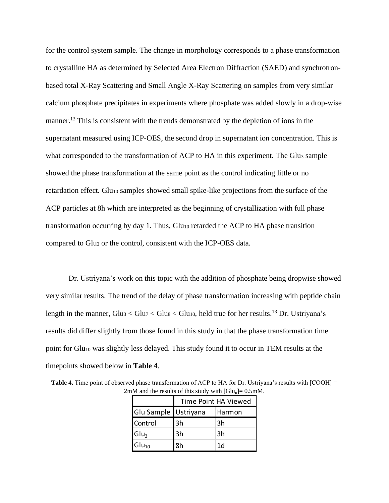for the control system sample. The change in morphology corresponds to a phase transformation to crystalline HA as determined by Selected Area Electron Diffraction (SAED) and synchrotronbased total X-Ray Scattering and Small Angle X-Ray Scattering on samples from very similar calcium phosphate precipitates in experiments where phosphate was added slowly in a drop-wise manner.<sup>13</sup> This is consistent with the trends demonstrated by the depletion of ions in the supernatant measured using ICP-OES, the second drop in supernatant ion concentration. This is what corresponded to the transformation of ACP to HA in this experiment. The Glu3 sample showed the phase transformation at the same point as the control indicating little or no retardation effect. Glu<sub>10</sub> samples showed small spike-like projections from the surface of the ACP particles at 8h which are interpreted as the beginning of crystallization with full phase transformation occurring by day 1. Thus,  $Glu<sub>10</sub>$  retarded the ACP to HA phase transition compared to Glu<sup>3</sup> or the control, consistent with the ICP-OES data.

Dr. Ustriyana's work on this topic with the addition of phosphate being dropwise showed very similar results. The trend of the delay of phase transformation increasing with peptide chain length in the manner,  $Glu_3 < Glu_7 < Glu_8 < Glu_{10}$ , held true for her results.<sup>13</sup> Dr. Ustriyana's results did differ slightly from those found in this study in that the phase transformation time point for Glu<sub>10</sub> was slightly less delayed. This study found it to occur in TEM results at the timepoints showed below in **Table 4**.

| Table 4. Time point of observed phase transformation of ACP to HA for Dr. Ustriyana's results with [COOH] = |
|-------------------------------------------------------------------------------------------------------------|
| 2mM and the results of this study with $[G]u_n = 0.5$ mM.                                                   |

|                      | Time Point HA Viewed |        |  |
|----------------------|----------------------|--------|--|
| Glu Sample Ustriyana |                      | Harmon |  |
| Control              | 3h                   | 3h     |  |
| Glu <sub>3</sub>     | 3h                   | 3h     |  |
| $Glu_{10}$           | 8h                   | 1d     |  |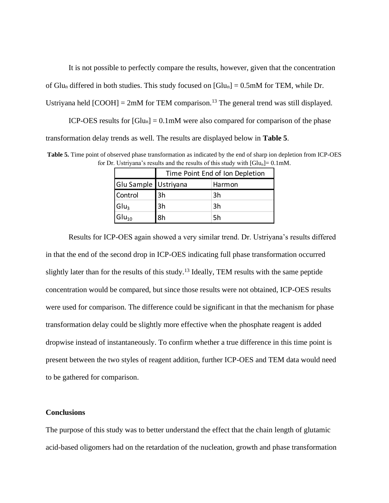It is not possible to perfectly compare the results, however, given that the concentration of Glu<sub>n</sub> differed in both studies. This study focused on  $[Glu_n] = 0.5 \text{mM}$  for TEM, while Dr. Ustriyana held  $[COOH] = 2 \text{m}$ M for TEM comparison.<sup>13</sup> The general trend was still displayed.

ICP-OES results for  $[G]$ U<sub>n</sub> $] = 0.1$ mM were also compared for comparison of the phase transformation delay trends as well. The results are displayed below in **Table 5**.

**Table 5.** Time point of observed phase transformation as indicated by the end of sharp ion depletion from ICP-OES for Dr. Ustriyana's results and the results of this study with  $[G]u_n = 0.1 \text{mM}$ .

|                      | Time Point End of Ion Depletion |        |  |
|----------------------|---------------------------------|--------|--|
| Glu Sample Ustriyana |                                 | Harmon |  |
| Control              | 3h                              | 3h     |  |
| Glu <sub>3</sub>     | 3h                              | 3h     |  |
| $Glu_{10}$           | 8h                              | 5h     |  |

Results for ICP-OES again showed a very similar trend. Dr. Ustriyana's results differed in that the end of the second drop in ICP-OES indicating full phase transformation occurred slightly later than for the results of this study.<sup>13</sup> Ideally, TEM results with the same peptide concentration would be compared, but since those results were not obtained, ICP-OES results were used for comparison. The difference could be significant in that the mechanism for phase transformation delay could be slightly more effective when the phosphate reagent is added dropwise instead of instantaneously. To confirm whether a true difference in this time point is present between the two styles of reagent addition, further ICP-OES and TEM data would need to be gathered for comparison.

#### **Conclusions**

The purpose of this study was to better understand the effect that the chain length of glutamic acid-based oligomers had on the retardation of the nucleation, growth and phase transformation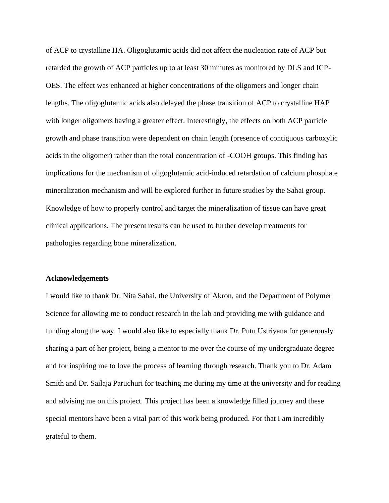of ACP to crystalline HA. Oligoglutamic acids did not affect the nucleation rate of ACP but retarded the growth of ACP particles up to at least 30 minutes as monitored by DLS and ICP-OES. The effect was enhanced at higher concentrations of the oligomers and longer chain lengths. The oligoglutamic acids also delayed the phase transition of ACP to crystalline HAP with longer oligomers having a greater effect. Interestingly, the effects on both ACP particle growth and phase transition were dependent on chain length (presence of contiguous carboxylic acids in the oligomer) rather than the total concentration of -COOH groups. This finding has implications for the mechanism of oligoglutamic acid-induced retardation of calcium phosphate mineralization mechanism and will be explored further in future studies by the Sahai group. Knowledge of how to properly control and target the mineralization of tissue can have great clinical applications. The present results can be used to further develop treatments for pathologies regarding bone mineralization.

#### **Acknowledgements**

I would like to thank Dr. Nita Sahai, the University of Akron, and the Department of Polymer Science for allowing me to conduct research in the lab and providing me with guidance and funding along the way. I would also like to especially thank Dr. Putu Ustriyana for generously sharing a part of her project, being a mentor to me over the course of my undergraduate degree and for inspiring me to love the process of learning through research. Thank you to Dr. Adam Smith and Dr. Sailaja Paruchuri for teaching me during my time at the university and for reading and advising me on this project. This project has been a knowledge filled journey and these special mentors have been a vital part of this work being produced. For that I am incredibly grateful to them.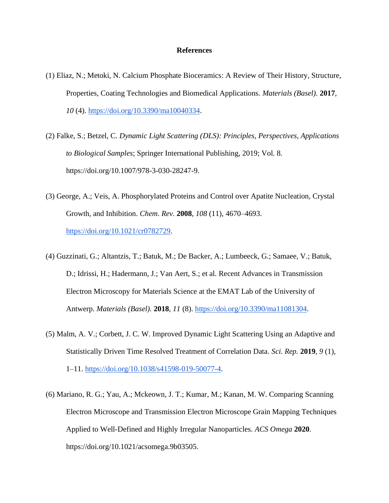#### **References**

- (1) Eliaz, N.; Metoki, N. Calcium Phosphate Bioceramics: A Review of Their History, Structure, Properties, Coating Technologies and Biomedical Applications. *Materials (Basel).* **2017**, *10* (4). [https://doi.org/10.3390/ma10040334.](https://doi.org/10.3390/ma10040334)
- (2) Falke, S.; Betzel, C. *Dynamic Light Scattering (DLS): Principles, Perspectives, Applications to Biological Samples*; Springer International Publishing, 2019; Vol. 8. https://doi.org/10.1007/978-3-030-28247-9.
- (3) George, A.; Veis, A. Phosphorylated Proteins and Control over Apatite Nucleation, Crystal Growth, and Inhibition. *Chem. Rev.* **2008**, *108* (11), 4670–4693. [https://doi.org/10.1021/cr0782729.](https://doi.org/10.1021/cr0782729)
- (4) Guzzinati, G.; Altantzis, T.; Batuk, M.; De Backer, A.; Lumbeeck, G.; Samaee, V.; Batuk, D.; Idrissi, H.; Hadermann, J.; Van Aert, S.; et al. Recent Advances in Transmission Electron Microscopy for Materials Science at the EMAT Lab of the University of Antwerp. *Materials (Basel).* **2018**, *11* (8). [https://doi.org/10.3390/ma11081304.](https://doi.org/10.3390/ma11081304)
- (5) Malm, A. V.; Corbett, J. C. W. Improved Dynamic Light Scattering Using an Adaptive and Statistically Driven Time Resolved Treatment of Correlation Data. *Sci. Rep.* **2019**, *9* (1), 1–11. [https://doi.org/10.1038/s41598-019-50077-4.](https://doi.org/10.1038/s41598-019-50077-4)
- (6) Mariano, R. G.; Yau, A.; Mckeown, J. T.; Kumar, M.; Kanan, M. W. Comparing Scanning Electron Microscope and Transmission Electron Microscope Grain Mapping Techniques Applied to Well-Defined and Highly Irregular Nanoparticles. *ACS Omega* **2020**. https://doi.org/10.1021/acsomega.9b03505.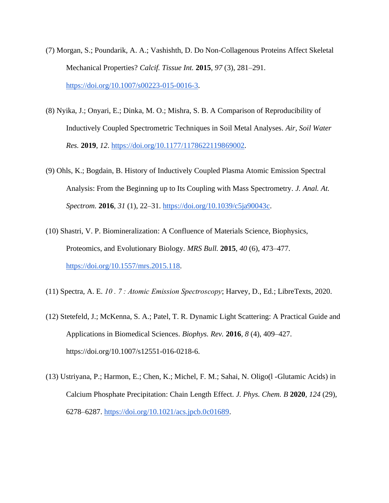- (7) Morgan, S.; Poundarik, A. A.; Vashishth, D. Do Non-Collagenous Proteins Affect Skeletal Mechanical Properties? *Calcif. Tissue Int.* **2015**, *97* (3), 281–291. [https://doi.org/10.1007/s00223-015-0016-3.](https://doi.org/10.1007/s00223-015-0016-3)
- (8) Nyika, J.; Onyari, E.; Dinka, M. O.; Mishra, S. B. A Comparison of Reproducibility of Inductively Coupled Spectrometric Techniques in Soil Metal Analyses. *Air, Soil Water Res.* **2019**, *12*. [https://doi.org/10.1177/1178622119869002.](https://doi.org/10.1177/1178622119869002)
- (9) Ohls, K.; Bogdain, B. History of Inductively Coupled Plasma Atomic Emission Spectral Analysis: From the Beginning up to Its Coupling with Mass Spectrometry. *J. Anal. At. Spectrom.* **2016**, *31* (1), 22–31. [https://doi.org/10.1039/c5ja90043c.](https://doi.org/10.1039/c5ja90043c)
- (10) Shastri, V. P. Biomineralization: A Confluence of Materials Science, Biophysics, Proteomics, and Evolutionary Biology. *MRS Bull.* **2015**, *40* (6), 473–477. [https://doi.org/10.1557/mrs.2015.118.](https://doi.org/10.1557/mrs.2015.118)
- (11) Spectra, A. E. *10 . 7 : Atomic Emission Spectroscopy*; Harvey, D., Ed.; LibreTexts, 2020.
- (12) Stetefeld, J.; McKenna, S. A.; Patel, T. R. Dynamic Light Scattering: A Practical Guide and Applications in Biomedical Sciences. *Biophys. Rev.* **2016**, *8* (4), 409–427. https://doi.org/10.1007/s12551-016-0218-6.
- (13) Ustriyana, P.; Harmon, E.; Chen, K.; Michel, F. M.; Sahai, N. Oligo(l -Glutamic Acids) in Calcium Phosphate Precipitation: Chain Length Effect. *J. Phys. Chem. B* **2020**, *124* (29), 6278–6287. [https://doi.org/10.1021/acs.jpcb.0c01689.](https://doi.org/10.1021/acs.jpcb.0c01689)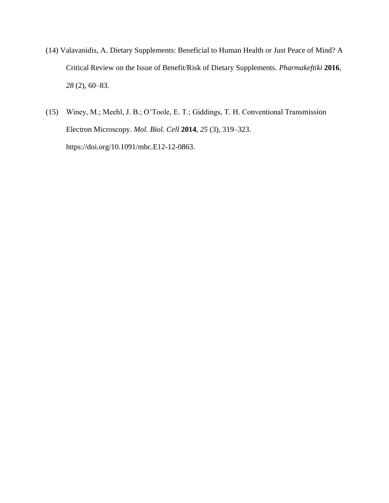- (14) Valavanidis, A. Dietary Supplements: Beneficial to Human Health or Just Peace of Mind? A Critical Review on the Issue of Benefit/Risk of Dietary Supplements. *Pharmakeftiki* **2016**, *28* (2), 60–83.
- (15) Winey, M.; Meehl, J. B.; O'Toole, E. T.; Giddings, T. H. Conventional Transmission Electron Microscopy. *Mol. Biol. Cell* **2014**, *25* (3), 319–323. https://doi.org/10.1091/mbc.E12-12-0863.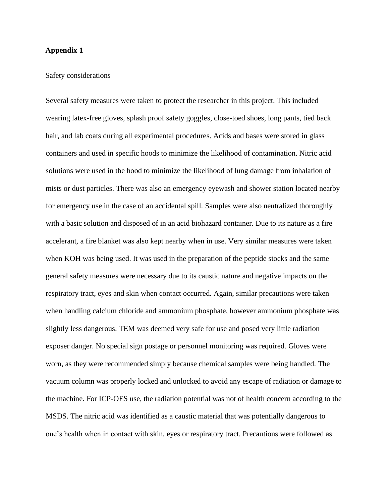#### **Appendix 1**

#### Safety considerations

Several safety measures were taken to protect the researcher in this project. This included wearing latex-free gloves, splash proof safety goggles, close-toed shoes, long pants, tied back hair, and lab coats during all experimental procedures. Acids and bases were stored in glass containers and used in specific hoods to minimize the likelihood of contamination. Nitric acid solutions were used in the hood to minimize the likelihood of lung damage from inhalation of mists or dust particles. There was also an emergency eyewash and shower station located nearby for emergency use in the case of an accidental spill. Samples were also neutralized thoroughly with a basic solution and disposed of in an acid biohazard container. Due to its nature as a fire accelerant, a fire blanket was also kept nearby when in use. Very similar measures were taken when KOH was being used. It was used in the preparation of the peptide stocks and the same general safety measures were necessary due to its caustic nature and negative impacts on the respiratory tract, eyes and skin when contact occurred. Again, similar precautions were taken when handling calcium chloride and ammonium phosphate, however ammonium phosphate was slightly less dangerous. TEM was deemed very safe for use and posed very little radiation exposer danger. No special sign postage or personnel monitoring was required. Gloves were worn, as they were recommended simply because chemical samples were being handled. The vacuum column was properly locked and unlocked to avoid any escape of radiation or damage to the machine. For ICP-OES use, the radiation potential was not of health concern according to the MSDS. The nitric acid was identified as a caustic material that was potentially dangerous to one's health when in contact with skin, eyes or respiratory tract. Precautions were followed as